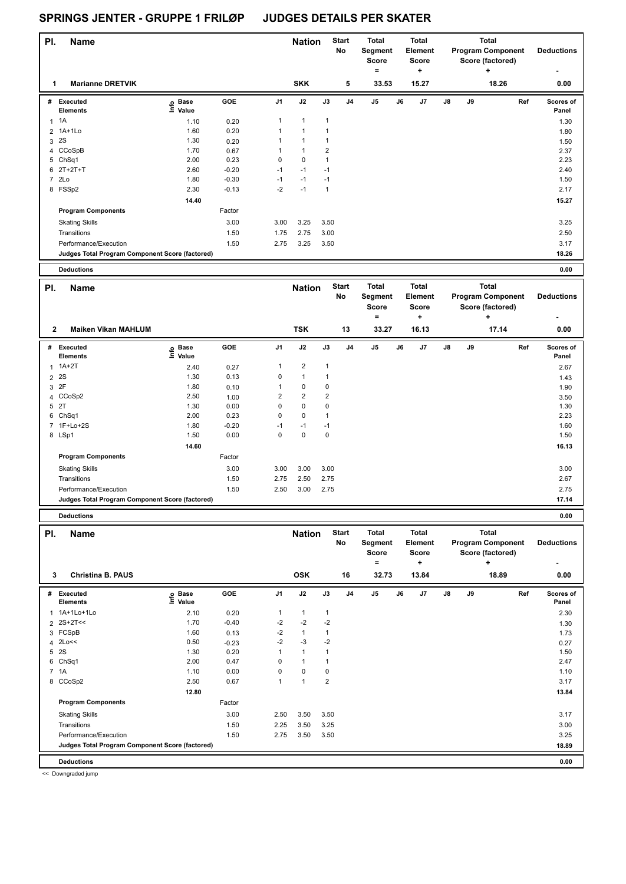| PI.            | <b>Name</b>                                     |                   |         |                | <b>Nation</b>  |                | <b>Start</b><br>No | <b>Total</b><br>Segment<br><b>Score</b><br>Ξ |    | <b>Total</b><br>Element<br><b>Score</b><br>٠ |    |    | <b>Total</b><br><b>Program Component</b><br>Score (factored)<br>٠ | <b>Deductions</b><br>٠ |
|----------------|-------------------------------------------------|-------------------|---------|----------------|----------------|----------------|--------------------|----------------------------------------------|----|----------------------------------------------|----|----|-------------------------------------------------------------------|------------------------|
| 1              | <b>Marianne DRETVIK</b>                         |                   |         |                | <b>SKK</b>     |                | 5                  | 33.53                                        |    | 15.27                                        |    |    | 18.26                                                             | 0.00                   |
| #              | Executed<br><b>Elements</b>                     | e Base<br>E Value | GOE     | J <sub>1</sub> | J2             | J3             | J <sub>4</sub>     | J <sub>5</sub>                               | J6 | J7                                           | J8 | J9 | Ref                                                               | Scores of<br>Panel     |
| 1              | 1A                                              | 1.10              | 0.20    | 1              | $\mathbf{1}$   | $\mathbf{1}$   |                    |                                              |    |                                              |    |    |                                                                   | 1.30                   |
| $\overline{2}$ | 1A+1Lo                                          | 1.60              | 0.20    | 1              | $\overline{1}$ |                |                    |                                              |    |                                              |    |    |                                                                   | 1.80                   |
| 3              | 2S                                              | 1.30              | 0.20    |                |                |                |                    |                                              |    |                                              |    |    |                                                                   | 1.50                   |
|                | 4 CCoSpB                                        | 1.70              | 0.67    |                | $\mathbf{1}$   | $\overline{2}$ |                    |                                              |    |                                              |    |    |                                                                   | 2.37                   |
|                | 5 ChSq1                                         | 2.00              | 0.23    | $\mathbf 0$    | $\pmb{0}$      | 1              |                    |                                              |    |                                              |    |    |                                                                   | 2.23                   |
|                | 6 2T+2T+T                                       | 2.60              | $-0.20$ | $-1$           | $-1$           | $-1$           |                    |                                              |    |                                              |    |    |                                                                   | 2.40                   |
| $\overline{7}$ | 2Lo                                             | 1.80              | $-0.30$ | $-1$           | $-1$           | $-1$           |                    |                                              |    |                                              |    |    |                                                                   | 1.50                   |
|                | 8 FSSp2                                         | 2.30              | $-0.13$ | $-2$           | $-1$           | $\overline{1}$ |                    |                                              |    |                                              |    |    |                                                                   | 2.17                   |
|                |                                                 | 14.40             |         |                |                |                |                    |                                              |    |                                              |    |    |                                                                   | 15.27                  |
|                | <b>Program Components</b>                       |                   | Factor  |                |                |                |                    |                                              |    |                                              |    |    |                                                                   |                        |
|                | <b>Skating Skills</b>                           |                   | 3.00    | 3.00           | 3.25           | 3.50           |                    |                                              |    |                                              |    |    |                                                                   | 3.25                   |
|                | Transitions                                     |                   | 1.50    | 1.75           | 2.75           | 3.00           |                    |                                              |    |                                              |    |    |                                                                   | 2.50                   |
|                | Performance/Execution                           |                   | 1.50    | 2.75           | 3.25           | 3.50           |                    |                                              |    |                                              |    |    |                                                                   | 3.17                   |
|                | Judges Total Program Component Score (factored) |                   |         |                |                |                |                    |                                              |    |                                              |    |    |                                                                   | 18.26                  |
|                | <b>Deductions</b>                               |                   |         |                |                |                |                    |                                              |    |                                              |    |    |                                                                   | 0.00                   |

| PI.          | <b>Name</b>                                     |                                         |         |      | <b>Nation</b>  |      | <b>Start</b><br>No | <b>Total</b><br>Segment<br><b>Score</b><br>۰ |    | <b>Total</b><br><b>Element</b><br><b>Score</b><br>÷ |               |    | <b>Total</b><br><b>Program Component</b><br>Score (factored)<br>÷ | <b>Deductions</b>  |
|--------------|-------------------------------------------------|-----------------------------------------|---------|------|----------------|------|--------------------|----------------------------------------------|----|-----------------------------------------------------|---------------|----|-------------------------------------------------------------------|--------------------|
| $\mathbf{2}$ | <b>Maiken Vikan MAHLUM</b>                      |                                         |         |      | <b>TSK</b>     |      | 13                 | 33.27                                        |    | 16.13                                               |               |    | 17.14                                                             | 0.00               |
| #            | Executed<br><b>Elements</b>                     | $\overset{\circ}{\equiv}$ Pase<br>Value | GOE     | J1   | J2             | J3   | J <sub>4</sub>     | J5                                           | J6 | J7                                                  | $\mathsf{J}8$ | J9 | Ref                                                               | Scores of<br>Panel |
| 1            | 1A+2T                                           | 2.40                                    | 0.27    | 1    | $\overline{2}$ | 1    |                    |                                              |    |                                                     |               |    |                                                                   | 2.67               |
|              | 2 <sup>2S</sup>                                 | 1.30                                    | 0.13    | 0    | $\mathbf{1}$   |      |                    |                                              |    |                                                     |               |    |                                                                   | 1.43               |
|              | 3 2F                                            | 1.80                                    | 0.10    |      | 0              | 0    |                    |                                              |    |                                                     |               |    |                                                                   | 1.90               |
|              | 4 CCoSp2                                        | 2.50                                    | 1.00    | 2    | $\overline{2}$ | 2    |                    |                                              |    |                                                     |               |    |                                                                   | 3.50               |
|              | 5 2T                                            | 1.30                                    | 0.00    | 0    | 0              | 0    |                    |                                              |    |                                                     |               |    |                                                                   | 1.30               |
|              | 6 ChSq1                                         | 2.00                                    | 0.23    | 0    | 0              |      |                    |                                              |    |                                                     |               |    |                                                                   | 2.23               |
|              | 7 1F+Lo+2S                                      | 1.80                                    | $-0.20$ | $-1$ | $-1$           | $-1$ |                    |                                              |    |                                                     |               |    |                                                                   | 1.60               |
|              | 8 LSp1                                          | 1.50                                    | 0.00    | 0    | 0              | 0    |                    |                                              |    |                                                     |               |    |                                                                   | 1.50               |
|              |                                                 | 14.60                                   |         |      |                |      |                    |                                              |    |                                                     |               |    |                                                                   | 16.13              |
|              | <b>Program Components</b>                       |                                         | Factor  |      |                |      |                    |                                              |    |                                                     |               |    |                                                                   |                    |
|              | <b>Skating Skills</b>                           |                                         | 3.00    | 3.00 | 3.00           | 3.00 |                    |                                              |    |                                                     |               |    |                                                                   | 3.00               |
|              | Transitions                                     |                                         | 1.50    | 2.75 | 2.50           | 2.75 |                    |                                              |    |                                                     |               |    |                                                                   | 2.67               |
|              | Performance/Execution                           |                                         | 1.50    | 2.50 | 3.00           | 2.75 |                    |                                              |    |                                                     |               |    |                                                                   | 2.75               |
|              | Judges Total Program Component Score (factored) |                                         |         |      |                |      |                    |                                              |    |                                                     |               |    |                                                                   | 17.14              |
|              |                                                 |                                         |         |      |                |      |                    |                                              |    |                                                     |               |    |                                                                   |                    |

**Deductions 0.00**

**Name Deductions - Nation Total Pl. Start Segment Score = Total Element Score + Total Program Component Score (factored) + No # Executed Elements Base Value GOE J1 J2 J3 J4 J5 J6 J7 J8 J9 Scores of Panel** 1 2.10 0.20 1 1 1 **Ref**  1A+1Lo+1Lo 2.30 **Info 3 Christina B. PAUS OSK 16 32.73 13.84 18.89 0.00**  $2$   $2$ S+2T<< 1.30  $1.70$   $-0.40$   $-2$   $-2$   $-2$ 3 FCSpB 1.60 0.13 -2 1 1 1.73 4 2Lo<< 0.50  $-0.23$   $-2$   $-3$   $-2$ 5 2S 1.30 0.20 1 1 1 1.50 6 ChSq1 2.00 0.47 0 1 1 2.47 7 1A 1.10 0.00 0 0 0 1.10 8 CCoSp2 2.50 0.67 1 1 2 3.17  **12.80 13.84 Program Components**  Skating Skills 2.50 3.50 3.50 3.50 Factor 3.00 2.50 3.50 3.50 3.50 3.50 and 3.17 Transitions 1.50 2.25 3.50 3.25 3.00 Performance/Execution 1.50 2.75 3.50 3.50 3.25 **Deductions 0.00 Judges Total Program Component Score (factored) 18.89**

<< Downgraded jump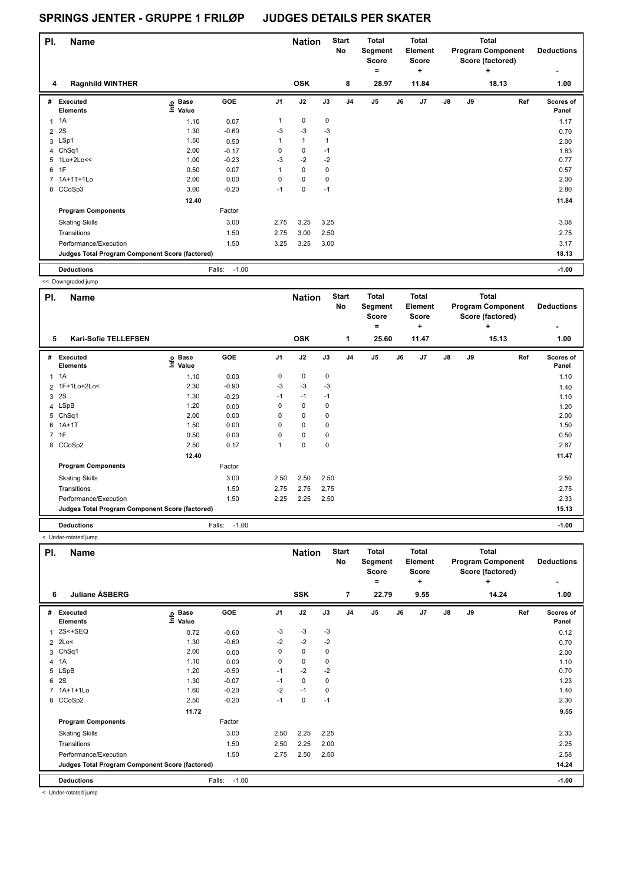| PI.            | <b>Name</b>                                     |                   |                   |                | <b>Nation</b> |              | <b>Start</b><br>No | <b>Total</b><br>Segment<br><b>Score</b><br>۰ |    | <b>Total</b><br>Element<br><b>Score</b><br>÷ |               |    | <b>Total</b><br><b>Program Component</b><br>Score (factored)<br>÷ | <b>Deductions</b>  |
|----------------|-------------------------------------------------|-------------------|-------------------|----------------|---------------|--------------|--------------------|----------------------------------------------|----|----------------------------------------------|---------------|----|-------------------------------------------------------------------|--------------------|
| 4              | <b>Ragnhild WINTHER</b>                         |                   |                   |                | <b>OSK</b>    |              | 8                  | 28.97                                        |    | 11.84                                        |               |    | 18.13                                                             | 1.00               |
| #              | Executed<br><b>Elements</b>                     | e Base<br>E Value | <b>GOE</b>        | J <sub>1</sub> | J2            | J3           | J <sub>4</sub>     | J5                                           | J6 | J7                                           | $\mathsf{J}8$ | J9 | Ref                                                               | Scores of<br>Panel |
| 1              | 1A                                              | 1.10              | 0.07              | $\mathbf{1}$   | $\mathbf 0$   | $\mathbf 0$  |                    |                                              |    |                                              |               |    |                                                                   | 1.17               |
| $\overline{2}$ | 2S                                              | 1.30              | $-0.60$           | $-3$           | $-3$          | $-3$         |                    |                                              |    |                                              |               |    |                                                                   | 0.70               |
|                | 3 LSp1                                          | 1.50              | 0.50              | 1              | $\mathbf{1}$  | $\mathbf{1}$ |                    |                                              |    |                                              |               |    |                                                                   | 2.00               |
|                | 4 ChSq1                                         | 2.00              | $-0.17$           | 0              | 0             | $-1$         |                    |                                              |    |                                              |               |    |                                                                   | 1.83               |
|                | 5 1Lo+2Lo<<                                     | 1.00              | $-0.23$           | $-3$           | $-2$          | $-2$         |                    |                                              |    |                                              |               |    |                                                                   | 0.77               |
| 6              | 1F                                              | 0.50              | 0.07              | 1              | $\mathbf 0$   | $\mathbf 0$  |                    |                                              |    |                                              |               |    |                                                                   | 0.57               |
|                | 7 1A+1T+1Lo                                     | 2.00              | 0.00              | 0              | 0             | $\mathbf 0$  |                    |                                              |    |                                              |               |    |                                                                   | 2.00               |
|                | 8 CCoSp3                                        | 3.00              | $-0.20$           | $-1$           | $\mathbf 0$   | $-1$         |                    |                                              |    |                                              |               |    |                                                                   | 2.80               |
|                |                                                 | 12.40             |                   |                |               |              |                    |                                              |    |                                              |               |    |                                                                   | 11.84              |
|                | <b>Program Components</b>                       |                   | Factor            |                |               |              |                    |                                              |    |                                              |               |    |                                                                   |                    |
|                | <b>Skating Skills</b>                           |                   | 3.00              | 2.75           | 3.25          | 3.25         |                    |                                              |    |                                              |               |    |                                                                   | 3.08               |
|                | Transitions                                     |                   | 1.50              | 2.75           | 3.00          | 2.50         |                    |                                              |    |                                              |               |    |                                                                   | 2.75               |
|                | Performance/Execution                           |                   | 1.50              | 3.25           | 3.25          | 3.00         |                    |                                              |    |                                              |               |    |                                                                   | 3.17               |
|                | Judges Total Program Component Score (factored) |                   |                   |                |               |              |                    |                                              |    |                                              |               |    |                                                                   | 18.13              |
|                | <b>Deductions</b>                               |                   | $-1.00$<br>Falls: |                |               |              |                    |                                              |    |                                              |               |    |                                                                   | $-1.00$            |

<< Downgraded jump

| PI.            | Name                                            |                              |                   |                | <b>Nation</b> |             | <b>Start</b><br>No | Total<br>Segment<br><b>Score</b><br>$=$ |    | <b>Total</b><br>Element<br>Score<br>÷ |               |    | <b>Total</b><br><b>Program Component</b><br>Score (factored)<br>÷ | <b>Deductions</b><br>٠ |
|----------------|-------------------------------------------------|------------------------------|-------------------|----------------|---------------|-------------|--------------------|-----------------------------------------|----|---------------------------------------|---------------|----|-------------------------------------------------------------------|------------------------|
| 5              | <b>Kari-Sofie TELLEFSEN</b>                     |                              |                   |                | <b>OSK</b>    |             | 1                  | 25.60                                   |    | 11.47                                 |               |    | 15.13                                                             | 1.00                   |
| #              | Executed<br><b>Elements</b>                     | <b>Base</b><br>lnfo<br>Value | GOE               | J <sub>1</sub> | J2            | J3          | J <sub>4</sub>     | J <sub>5</sub>                          | J6 | J7                                    | $\mathsf{J}8$ | J9 | Ref                                                               | Scores of<br>Panel     |
| 1              | 1A                                              | 1.10                         | 0.00              | 0              | $\pmb{0}$     | 0           |                    |                                         |    |                                       |               |    |                                                                   | 1.10                   |
|                | 2 1F+1Lo+2Lo<                                   | 2.30                         | $-0.90$           | $-3$           | $-3$          | $-3$        |                    |                                         |    |                                       |               |    |                                                                   | 1.40                   |
| 3              | 2S                                              | 1.30                         | $-0.20$           | $-1$           | $-1$          | $-1$        |                    |                                         |    |                                       |               |    |                                                                   | 1.10                   |
|                | 4 LSpB                                          | 1.20                         | 0.00              | 0              | $\mathbf 0$   | 0           |                    |                                         |    |                                       |               |    |                                                                   | 1.20                   |
| 5              | Ch <sub>Sq1</sub>                               | 2.00                         | 0.00              | 0              | $\mathbf 0$   | 0           |                    |                                         |    |                                       |               |    |                                                                   | 2.00                   |
| 6              | $1A+1T$                                         | 1.50                         | 0.00              | 0              | $\mathbf 0$   | 0           |                    |                                         |    |                                       |               |    |                                                                   | 1.50                   |
| $\overline{7}$ | 1F                                              | 0.50                         | 0.00              | 0              | 0             | 0           |                    |                                         |    |                                       |               |    |                                                                   | 0.50                   |
|                | 8 CCoSp2                                        | 2.50                         | 0.17              |                | $\pmb{0}$     | $\mathbf 0$ |                    |                                         |    |                                       |               |    |                                                                   | 2.67                   |
|                |                                                 | 12.40                        |                   |                |               |             |                    |                                         |    |                                       |               |    |                                                                   | 11.47                  |
|                | <b>Program Components</b>                       |                              | Factor            |                |               |             |                    |                                         |    |                                       |               |    |                                                                   |                        |
|                | <b>Skating Skills</b>                           |                              | 3.00              | 2.50           | 2.50          | 2.50        |                    |                                         |    |                                       |               |    |                                                                   | 2.50                   |
|                | Transitions                                     |                              | 1.50              | 2.75           | 2.75          | 2.75        |                    |                                         |    |                                       |               |    |                                                                   | 2.75                   |
|                | Performance/Execution                           |                              | 1.50              | 2.25           | 2.25          | 2.50        |                    |                                         |    |                                       |               |    |                                                                   | 2.33                   |
|                | Judges Total Program Component Score (factored) |                              |                   |                |               |             |                    |                                         |    |                                       |               |    |                                                                   | 15.13                  |
|                | <b>Deductions</b>                               |                              | $-1.00$<br>Falls: |                |               |             |                    |                                         |    |                                       |               |    |                                                                   | $-1.00$                |

< Under-rotated jump

| PI. | <b>Name</b>                                     |                                                          |                   |                | <b>Nation</b> |      | <b>Start</b><br>No | <b>Total</b><br>Segment<br><b>Score</b><br>$=$ |    | <b>Total</b><br><b>Element</b><br><b>Score</b><br>÷ |    |    | <b>Total</b><br><b>Program Component</b><br>Score (factored)<br>÷ | <b>Deductions</b><br>٠ |
|-----|-------------------------------------------------|----------------------------------------------------------|-------------------|----------------|---------------|------|--------------------|------------------------------------------------|----|-----------------------------------------------------|----|----|-------------------------------------------------------------------|------------------------|
| 6   | <b>Juliane ASBERG</b>                           |                                                          |                   |                | <b>SSK</b>    |      | $\overline{7}$     | 22.79                                          |    | 9.55                                                |    |    | 14.24                                                             | 1.00                   |
| #   | Executed<br><b>Elements</b>                     | <b>Base</b><br>$\mathop{\mathsf{Int}}\nolimits$<br>Value | GOE               | J <sub>1</sub> | J2            | J3   | J <sub>4</sub>     | J <sub>5</sub>                                 | J6 | J7                                                  | J8 | J9 | Ref                                                               | Scores of<br>Panel     |
| 1   | 2S<+SEQ                                         | 0.72                                                     | $-0.60$           | -3             | $-3$          | $-3$ |                    |                                                |    |                                                     |    |    |                                                                   | 0.12                   |
|     | 2 2Lo<                                          | 1.30                                                     | $-0.60$           | $-2$           | $-2$          | $-2$ |                    |                                                |    |                                                     |    |    |                                                                   | 0.70                   |
| 3   | ChSq1                                           | 2.00                                                     | 0.00              | 0              | $\mathbf 0$   | 0    |                    |                                                |    |                                                     |    |    |                                                                   | 2.00                   |
|     | 4 1A                                            | 1.10                                                     | 0.00              | 0              | $\mathbf 0$   | 0    |                    |                                                |    |                                                     |    |    |                                                                   | 1.10                   |
|     | 5 LSpB                                          | 1.20                                                     | $-0.50$           | $-1$           | $-2$          | $-2$ |                    |                                                |    |                                                     |    |    |                                                                   | 0.70                   |
| 6   | 2S                                              | 1.30                                                     | $-0.07$           | $-1$           | $\mathbf 0$   | 0    |                    |                                                |    |                                                     |    |    |                                                                   | 1.23                   |
|     | 7 1A+T+1Lo                                      | 1.60                                                     | $-0.20$           | $-2$           | $-1$          | 0    |                    |                                                |    |                                                     |    |    |                                                                   | 1.40                   |
|     | 8 CCoSp2                                        | 2.50                                                     | $-0.20$           | $-1$           | $\mathbf 0$   | $-1$ |                    |                                                |    |                                                     |    |    |                                                                   | 2.30                   |
|     |                                                 | 11.72                                                    |                   |                |               |      |                    |                                                |    |                                                     |    |    |                                                                   | 9.55                   |
|     | <b>Program Components</b>                       |                                                          | Factor            |                |               |      |                    |                                                |    |                                                     |    |    |                                                                   |                        |
|     | <b>Skating Skills</b>                           |                                                          | 3.00              | 2.50           | 2.25          | 2.25 |                    |                                                |    |                                                     |    |    |                                                                   | 2.33                   |
|     | Transitions                                     |                                                          | 1.50              | 2.50           | 2.25          | 2.00 |                    |                                                |    |                                                     |    |    |                                                                   | 2.25                   |
|     | Performance/Execution                           |                                                          | 1.50              | 2.75           | 2.50          | 2.50 |                    |                                                |    |                                                     |    |    |                                                                   | 2.58                   |
|     | Judges Total Program Component Score (factored) |                                                          |                   |                |               |      |                    |                                                |    |                                                     |    |    |                                                                   | 14.24                  |
|     | <b>Deductions</b>                               |                                                          | Falls:<br>$-1.00$ |                |               |      |                    |                                                |    |                                                     |    |    |                                                                   | $-1.00$                |

< Under-rotated jump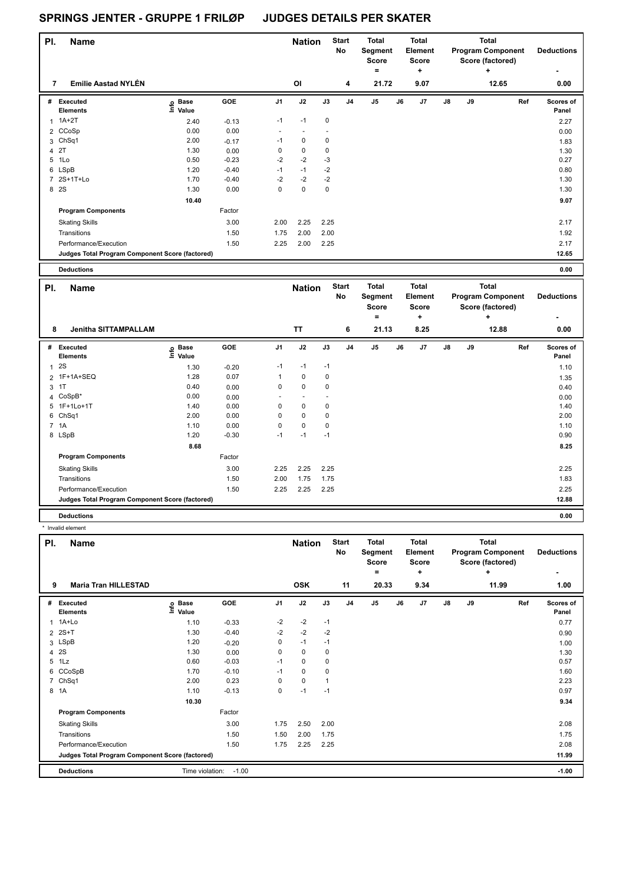| PI. | <b>Name</b>                                     |                                  |            |                          | <b>Nation</b>            |             | <b>Start</b><br>No | Total<br>Segment<br><b>Score</b> |    | <b>Total</b><br>Element<br>Score |    |    | <b>Total</b><br><b>Program Component</b><br>Score (factored) | <b>Deductions</b>  |
|-----|-------------------------------------------------|----------------------------------|------------|--------------------------|--------------------------|-------------|--------------------|----------------------------------|----|----------------------------------|----|----|--------------------------------------------------------------|--------------------|
| 7   | <b>Emilie Aastad NYLÉN</b>                      |                                  |            |                          | <b>OI</b>                |             |                    | $\equiv$<br>21.72                |    | ٠<br>9.07                        |    |    | ٠<br>12.65                                                   |                    |
|     |                                                 |                                  |            |                          |                          |             | 4                  |                                  |    |                                  |    |    |                                                              | 0.00               |
| #   | Executed<br><b>Elements</b>                     | <b>Base</b><br>e Base<br>E Value | <b>GOE</b> | J <sub>1</sub>           | J2                       | J3          | J <sub>4</sub>     | J <sub>5</sub>                   | J6 | J <sub>7</sub>                   | J8 | J9 | Ref                                                          | Scores of<br>Panel |
|     | $1A+2T$                                         | 2.40                             | $-0.13$    | $-1$                     | $-1$                     | $\mathbf 0$ |                    |                                  |    |                                  |    |    |                                                              | 2.27               |
|     | 2 CCoSp                                         | 0.00                             | 0.00       | $\overline{\phantom{a}}$ | $\overline{\phantom{a}}$ |             |                    |                                  |    |                                  |    |    |                                                              | 0.00               |
|     | 3 ChSq1                                         | 2.00                             | $-0.17$    | $-1$                     | 0                        | 0           |                    |                                  |    |                                  |    |    |                                                              | 1.83               |
|     | 4 2T                                            | 1.30                             | 0.00       | 0                        | $\pmb{0}$                | 0           |                    |                                  |    |                                  |    |    |                                                              | 1.30               |
| 5   | 1Lo                                             | 0.50                             | $-0.23$    | $-2$                     | $-2$                     | $-3$        |                    |                                  |    |                                  |    |    |                                                              | 0.27               |
|     | 6 LSpB                                          | 1.20                             | $-0.40$    | $-1$                     | $-1$                     | $-2$        |                    |                                  |    |                                  |    |    |                                                              | 0.80               |
|     | 7 2S+1T+Lo                                      | 1.70                             | $-0.40$    | $-2$                     | $-2$                     | $-2$        |                    |                                  |    |                                  |    |    |                                                              | 1.30               |
| 8   | <b>2S</b>                                       | 1.30                             | 0.00       | $\pmb{0}$                | $\pmb{0}$                | 0           |                    |                                  |    |                                  |    |    |                                                              | 1.30               |
|     |                                                 | 10.40                            |            |                          |                          |             |                    |                                  |    |                                  |    |    |                                                              | 9.07               |
|     | <b>Program Components</b>                       |                                  | Factor     |                          |                          |             |                    |                                  |    |                                  |    |    |                                                              |                    |
|     | <b>Skating Skills</b>                           |                                  | 3.00       | 2.00                     | 2.25                     | 2.25        |                    |                                  |    |                                  |    |    |                                                              | 2.17               |
|     | Transitions                                     |                                  | 1.50       | 1.75                     | 2.00                     | 2.00        |                    |                                  |    |                                  |    |    |                                                              | 1.92               |
|     | Performance/Execution                           |                                  | 1.50       | 2.25                     | 2.00                     | 2.25        |                    |                                  |    |                                  |    |    |                                                              | 2.17               |
|     | Judges Total Program Component Score (factored) |                                  |            |                          |                          |             |                    |                                  |    |                                  |    |    |                                                              | 12.65              |
|     |                                                 |                                  |            |                          |                          |             |                    |                                  |    |                                  |    |    |                                                              |                    |

**Deductions 0.00**

| PI.          | <b>Name</b>                                     |                            |         |                          | <b>Nation</b>            |                          | <b>Start</b><br>No | <b>Total</b><br>Segment<br><b>Score</b> |    | <b>Total</b><br>Element<br><b>Score</b> |               |    | <b>Total</b><br><b>Program Component</b><br>Score (factored) | <b>Deductions</b>         |
|--------------|-------------------------------------------------|----------------------------|---------|--------------------------|--------------------------|--------------------------|--------------------|-----------------------------------------|----|-----------------------------------------|---------------|----|--------------------------------------------------------------|---------------------------|
| 8            | <b>Jenitha SITTAMPALLAM</b>                     |                            |         |                          | <b>TT</b>                |                          | 6                  | ۰<br>21.13                              |    | ÷<br>8.25                               |               |    | ÷<br>12.88                                                   | ۰<br>0.00                 |
|              |                                                 |                            |         |                          |                          |                          |                    |                                         |    |                                         |               |    |                                                              |                           |
|              | # Executed<br><b>Elements</b>                   | © Base<br>E Value<br>Value | GOE     | J <sub>1</sub>           | J2                       | J3                       | J <sub>4</sub>     | J <sub>5</sub>                          | J6 | J7                                      | $\mathsf{J}8$ | J9 | Ref                                                          | <b>Scores of</b><br>Panel |
| $\mathbf{1}$ | 2S                                              | 1.30                       | $-0.20$ | $-1$                     | $-1$                     | $-1$                     |                    |                                         |    |                                         |               |    |                                                              | 1.10                      |
|              | 2 1F+1A+SEQ                                     | 1.28                       | 0.07    | 1                        | 0                        | 0                        |                    |                                         |    |                                         |               |    |                                                              | 1.35                      |
|              | 3 1T                                            | 0.40                       | 0.00    | 0                        | 0                        | 0                        |                    |                                         |    |                                         |               |    |                                                              | 0.40                      |
|              | 4 CoSpB*                                        | 0.00                       | 0.00    | $\overline{\phantom{a}}$ | $\overline{\phantom{a}}$ | $\overline{\phantom{a}}$ |                    |                                         |    |                                         |               |    |                                                              | 0.00                      |
|              | 5 1F+1Lo+1T                                     | 1.40                       | 0.00    | 0                        | 0                        | 0                        |                    |                                         |    |                                         |               |    |                                                              | 1.40                      |
| 6            | Ch <sub>Sq1</sub>                               | 2.00                       | 0.00    | 0                        | 0                        | 0                        |                    |                                         |    |                                         |               |    |                                                              | 2.00                      |
|              | 7 1A                                            | 1.10                       | 0.00    | 0                        | 0                        | 0                        |                    |                                         |    |                                         |               |    |                                                              | 1.10                      |
|              | 8 LSpB                                          | 1.20                       | $-0.30$ | $-1$                     | $-1$                     | $-1$                     |                    |                                         |    |                                         |               |    |                                                              | 0.90                      |
|              |                                                 | 8.68                       |         |                          |                          |                          |                    |                                         |    |                                         |               |    |                                                              | 8.25                      |
|              | <b>Program Components</b>                       |                            | Factor  |                          |                          |                          |                    |                                         |    |                                         |               |    |                                                              |                           |
|              | <b>Skating Skills</b>                           |                            | 3.00    | 2.25                     | 2.25                     | 2.25                     |                    |                                         |    |                                         |               |    |                                                              | 2.25                      |
|              | Transitions                                     |                            | 1.50    | 2.00                     | 1.75                     | 1.75                     |                    |                                         |    |                                         |               |    |                                                              | 1.83                      |
|              | Performance/Execution                           |                            | 1.50    | 2.25                     | 2.25                     | 2.25                     |                    |                                         |    |                                         |               |    |                                                              | 2.25                      |
|              | Judges Total Program Component Score (factored) |                            |         |                          |                          |                          |                    |                                         |    |                                         |               |    |                                                              | 12.88                     |
|              | <b>Deductions</b>                               |                            |         |                          |                          |                          |                    |                                         |    |                                         |               |    |                                                              | 0.00                      |

\* Invalid element

| PI.            | <b>Name</b>                                     |                            |         |                | <b>Nation</b> |             | <b>Start</b><br>No | <b>Total</b><br>Segment<br><b>Score</b> |    | <b>Total</b><br>Element<br><b>Score</b> |    |    | <b>Total</b><br><b>Program Component</b><br>Score (factored) | <b>Deductions</b>  |
|----------------|-------------------------------------------------|----------------------------|---------|----------------|---------------|-------------|--------------------|-----------------------------------------|----|-----------------------------------------|----|----|--------------------------------------------------------------|--------------------|
| 9              | <b>Maria Tran HILLESTAD</b>                     |                            |         |                | <b>OSK</b>    |             | 11                 | $=$<br>20.33                            |    | ٠<br>9.34                               |    |    | ÷<br>11.99                                                   | ٠<br>1.00          |
| #              | <b>Executed</b><br><b>Elements</b>              | e Base<br>E Value<br>Value | GOE     | J <sub>1</sub> | J2            | J3          | J <sub>4</sub>     | J <sub>5</sub>                          | J6 | J <sub>7</sub>                          | J8 | J9 | Ref                                                          | Scores of<br>Panel |
| $\mathbf{1}$   | 1A+Lo                                           | 1.10                       | $-0.33$ | $-2$           | $-2$          | $-1$        |                    |                                         |    |                                         |    |    |                                                              | 0.77               |
| $\overline{2}$ | $2S+T$                                          | 1.30                       | $-0.40$ | $-2$           | $-2$          | $-2$        |                    |                                         |    |                                         |    |    |                                                              | 0.90               |
|                | 3 LSpB                                          | 1.20                       | $-0.20$ | 0              | $-1$          | $-1$        |                    |                                         |    |                                         |    |    |                                                              | 1.00               |
|                | 4 2 S                                           | 1.30                       | 0.00    | 0              | 0             | $\mathbf 0$ |                    |                                         |    |                                         |    |    |                                                              | 1.30               |
|                | 5 1Lz                                           | 0.60                       | $-0.03$ | $-1$           | 0             | $\mathbf 0$ |                    |                                         |    |                                         |    |    |                                                              | 0.57               |
| 6              | CCoSpB                                          | 1.70                       | $-0.10$ | $-1$           | 0             | $\mathbf 0$ |                    |                                         |    |                                         |    |    |                                                              | 1.60               |
|                | 7 ChSq1                                         | 2.00                       | 0.23    | $\Omega$       | $\Omega$      |             |                    |                                         |    |                                         |    |    |                                                              | 2.23               |
|                | 8 1A                                            | 1.10                       | $-0.13$ | 0              | $-1$          | $-1$        |                    |                                         |    |                                         |    |    |                                                              | 0.97               |
|                |                                                 | 10.30                      |         |                |               |             |                    |                                         |    |                                         |    |    |                                                              | 9.34               |
|                | <b>Program Components</b>                       |                            | Factor  |                |               |             |                    |                                         |    |                                         |    |    |                                                              |                    |
|                | <b>Skating Skills</b>                           |                            | 3.00    | 1.75           | 2.50          | 2.00        |                    |                                         |    |                                         |    |    |                                                              | 2.08               |
|                | Transitions                                     |                            | 1.50    | 1.50           | 2.00          | 1.75        |                    |                                         |    |                                         |    |    |                                                              | 1.75               |
|                | Performance/Execution                           |                            | 1.50    | 1.75           | 2.25          | 2.25        |                    |                                         |    |                                         |    |    |                                                              | 2.08               |
|                | Judges Total Program Component Score (factored) |                            |         |                |               |             |                    |                                         |    |                                         |    |    |                                                              | 11.99              |
|                | <b>Deductions</b>                               | Time violation:            | $-1.00$ |                |               |             |                    |                                         |    |                                         |    |    |                                                              | $-1.00$            |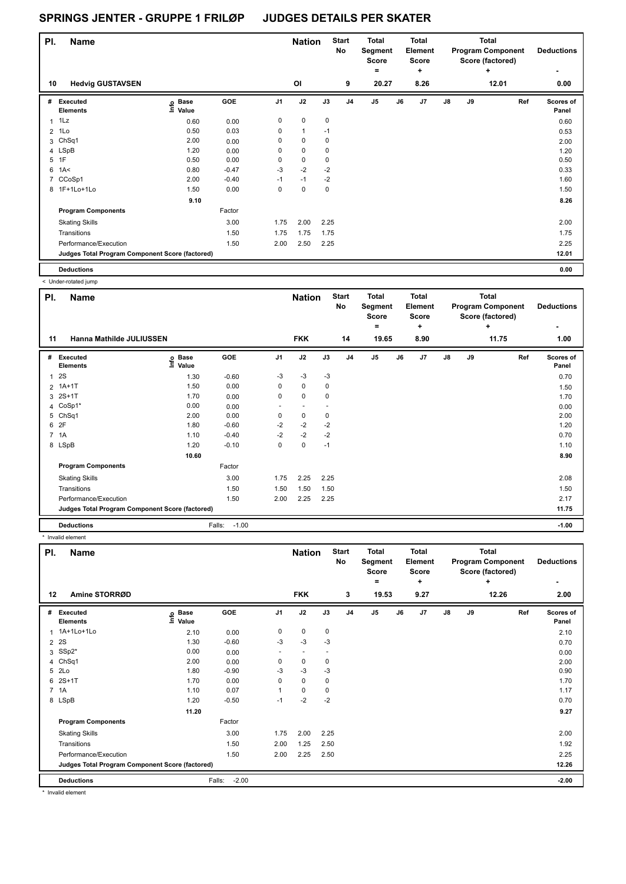| PI. | <b>Name</b>                                     |                   |            |                | <b>Nation</b> |             | <b>Start</b><br>No | <b>Total</b><br>Segment<br><b>Score</b><br>۰ |    | <b>Total</b><br>Element<br><b>Score</b><br>٠ |               |    | <b>Total</b><br><b>Program Component</b><br>Score (factored)<br>÷ | <b>Deductions</b>  |
|-----|-------------------------------------------------|-------------------|------------|----------------|---------------|-------------|--------------------|----------------------------------------------|----|----------------------------------------------|---------------|----|-------------------------------------------------------------------|--------------------|
| 10  | <b>Hedvig GUSTAVSEN</b>                         |                   |            |                | <b>OI</b>     |             | 9                  | 20.27                                        |    | 8.26                                         |               |    | 12.01                                                             | 0.00               |
| #   | Executed<br><b>Elements</b>                     | e Base<br>E Value | <b>GOE</b> | J <sub>1</sub> | J2            | J3          | J <sub>4</sub>     | J5                                           | J6 | J7                                           | $\mathsf{J}8$ | J9 | Ref                                                               | Scores of<br>Panel |
| 1   | 1Lz                                             | 0.60              | 0.00       | 0              | $\mathbf 0$   | $\mathbf 0$ |                    |                                              |    |                                              |               |    |                                                                   | 0.60               |
| 2   | 1Lo                                             | 0.50              | 0.03       | 0              | $\mathbf{1}$  | $-1$        |                    |                                              |    |                                              |               |    |                                                                   | 0.53               |
|     | 3 ChSq1                                         | 2.00              | 0.00       | 0              | 0             | $\mathbf 0$ |                    |                                              |    |                                              |               |    |                                                                   | 2.00               |
|     | 4 LSpB                                          | 1.20              | 0.00       | 0              | $\mathbf 0$   | $\mathbf 0$ |                    |                                              |    |                                              |               |    |                                                                   | 1.20               |
| 5   | 1F                                              | 0.50              | 0.00       | 0              | $\mathbf 0$   | 0           |                    |                                              |    |                                              |               |    |                                                                   | 0.50               |
| 6   | 1A<                                             | 0.80              | $-0.47$    | $-3$           | $-2$          | $-2$        |                    |                                              |    |                                              |               |    |                                                                   | 0.33               |
| 7   | CCoSp1                                          | 2.00              | $-0.40$    | $-1$           | $-1$          | $-2$        |                    |                                              |    |                                              |               |    |                                                                   | 1.60               |
|     | 8 1F+1Lo+1Lo                                    | 1.50              | 0.00       | 0              | $\mathbf 0$   | 0           |                    |                                              |    |                                              |               |    |                                                                   | 1.50               |
|     |                                                 | 9.10              |            |                |               |             |                    |                                              |    |                                              |               |    |                                                                   | 8.26               |
|     | <b>Program Components</b>                       |                   | Factor     |                |               |             |                    |                                              |    |                                              |               |    |                                                                   |                    |
|     | <b>Skating Skills</b>                           |                   | 3.00       | 1.75           | 2.00          | 2.25        |                    |                                              |    |                                              |               |    |                                                                   | 2.00               |
|     | Transitions                                     |                   | 1.50       | 1.75           | 1.75          | 1.75        |                    |                                              |    |                                              |               |    |                                                                   | 1.75               |
|     | Performance/Execution                           |                   | 1.50       | 2.00           | 2.50          | 2.25        |                    |                                              |    |                                              |               |    |                                                                   | 2.25               |
|     | Judges Total Program Component Score (factored) |                   |            |                |               |             |                    |                                              |    |                                              |               |    |                                                                   | 12.01              |
|     | <b>Deductions</b>                               |                   |            |                |               |             |                    |                                              |    |                                              |               |    |                                                                   | 0.00               |

< Under-rotated jump

|                | <b>OTIOCI TORROG JUITP</b>                      |                   |                   |                |                          |           |                    |                                  |    |                                         |               |    |                                                              |                    |
|----------------|-------------------------------------------------|-------------------|-------------------|----------------|--------------------------|-----------|--------------------|----------------------------------|----|-----------------------------------------|---------------|----|--------------------------------------------------------------|--------------------|
| PI.            | Name                                            |                   |                   |                | <b>Nation</b>            |           | <b>Start</b><br>No | <b>Total</b><br>Segment<br>Score |    | <b>Total</b><br>Element<br><b>Score</b> |               |    | <b>Total</b><br><b>Program Component</b><br>Score (factored) | <b>Deductions</b>  |
|                |                                                 |                   |                   |                |                          |           |                    | ۰                                |    | ٠                                       |               |    | ÷                                                            |                    |
| 11             | Hanna Mathilde JULIUSSEN                        |                   |                   |                | <b>FKK</b>               |           | 14                 | 19.65                            |    | 8.90                                    |               |    | 11.75                                                        | 1.00               |
| #              | Executed<br><b>Elements</b>                     | e Base<br>⊆ Value | <b>GOE</b>        | J <sub>1</sub> | J2                       | J3        | J <sub>4</sub>     | J <sub>5</sub>                   | J6 | J7                                      | $\mathsf{J}8$ | J9 | Ref                                                          | Scores of<br>Panel |
| $\mathbf{1}$   | 2S                                              | 1.30              | $-0.60$           | $-3$           | $-3$                     | -3        |                    |                                  |    |                                         |               |    |                                                              | 0.70               |
| $\overline{2}$ | $1A+1T$                                         | 1.50              | 0.00              | 0              | $\mathbf 0$              | $\pmb{0}$ |                    |                                  |    |                                         |               |    |                                                              | 1.50               |
| 3              | $2S+1T$                                         | 1.70              | 0.00              | 0              | 0                        | 0         |                    |                                  |    |                                         |               |    |                                                              | 1.70               |
|                | 4 CoSp1*                                        | 0.00              | 0.00              | ٠              | $\overline{\phantom{a}}$ |           |                    |                                  |    |                                         |               |    |                                                              | 0.00               |
| 5              | Ch <sub>Sq1</sub>                               | 2.00              | 0.00              | 0              | 0                        | 0         |                    |                                  |    |                                         |               |    |                                                              | 2.00               |
| 6              | 2F                                              | 1.80              | $-0.60$           | $-2$           | $-2$                     | $-2$      |                    |                                  |    |                                         |               |    |                                                              | 1.20               |
| $7^{\circ}$    | 1A                                              | 1.10              | $-0.40$           | $-2$           | $-2$                     | $-2$      |                    |                                  |    |                                         |               |    |                                                              | 0.70               |
|                | 8 LSpB                                          | 1.20              | $-0.10$           | 0              | $\mathbf 0$              | $-1$      |                    |                                  |    |                                         |               |    |                                                              | 1.10               |
|                |                                                 | 10.60             |                   |                |                          |           |                    |                                  |    |                                         |               |    |                                                              | 8.90               |
|                | <b>Program Components</b>                       |                   | Factor            |                |                          |           |                    |                                  |    |                                         |               |    |                                                              |                    |
|                | <b>Skating Skills</b>                           |                   | 3.00              | 1.75           | 2.25                     | 2.25      |                    |                                  |    |                                         |               |    |                                                              | 2.08               |
|                | Transitions                                     |                   | 1.50              | 1.50           | 1.50                     | 1.50      |                    |                                  |    |                                         |               |    |                                                              | 1.50               |
|                | Performance/Execution                           |                   | 1.50              | 2.00           | 2.25                     | 2.25      |                    |                                  |    |                                         |               |    |                                                              | 2.17               |
|                | Judges Total Program Component Score (factored) |                   |                   |                |                          |           |                    |                                  |    |                                         |               |    |                                                              | 11.75              |
|                | <b>Deductions</b>                               |                   | $-1.00$<br>Falls: |                |                          |           |                    |                                  |    |                                         |               |    |                                                              | $-1.00$            |

\* Invalid element

| PI.         | <b>Name</b>                                     |                                     |                   |                | <b>Nation</b> |             | <b>Start</b><br>No | <b>Total</b><br>Segment<br><b>Score</b><br>$=$ |    | <b>Total</b><br>Element<br><b>Score</b><br>٠ |    |    | <b>Total</b><br><b>Program Component</b><br>Score (factored)<br>÷ | <b>Deductions</b><br>۰    |
|-------------|-------------------------------------------------|-------------------------------------|-------------------|----------------|---------------|-------------|--------------------|------------------------------------------------|----|----------------------------------------------|----|----|-------------------------------------------------------------------|---------------------------|
| 12          | Amine STORRØD                                   |                                     |                   |                | <b>FKK</b>    |             | 3                  | 19.53                                          |    | 9.27                                         |    |    | 12.26                                                             | 2.00                      |
| #           | <b>Executed</b><br><b>Elements</b>              | $\epsilon$ Base<br>$\epsilon$ Value | GOE               | J <sub>1</sub> | J2            | J3          | J <sub>4</sub>     | $\mathsf{J}5$                                  | J6 | J7                                           | J8 | J9 | Ref                                                               | <b>Scores of</b><br>Panel |
| 1           | 1A+1Lo+1Lo                                      | 2.10                                | 0.00              | 0              | $\pmb{0}$     | $\mathbf 0$ |                    |                                                |    |                                              |    |    |                                                                   | 2.10                      |
| 2           | 2S                                              | 1.30                                | $-0.60$           | -3             | -3            | -3          |                    |                                                |    |                                              |    |    |                                                                   | 0.70                      |
| 3           | SSp2*                                           | 0.00                                | 0.00              | ٠              | -             |             |                    |                                                |    |                                              |    |    |                                                                   | 0.00                      |
|             | 4 ChSq1                                         | 2.00                                | 0.00              | 0              | 0             | 0           |                    |                                                |    |                                              |    |    |                                                                   | 2.00                      |
| 5           | 2Lo                                             | 1.80                                | $-0.90$           | $-3$           | $-3$          | $-3$        |                    |                                                |    |                                              |    |    |                                                                   | 0.90                      |
| 6           | $2S+1T$                                         | 1.70                                | 0.00              | 0              | $\mathbf 0$   | 0           |                    |                                                |    |                                              |    |    |                                                                   | 1.70                      |
| $7^{\circ}$ | 1A                                              | 1.10                                | 0.07              |                | $\mathbf 0$   | 0           |                    |                                                |    |                                              |    |    |                                                                   | 1.17                      |
|             | 8 LSpB                                          | 1.20                                | $-0.50$           | $-1$           | $-2$          | $-2$        |                    |                                                |    |                                              |    |    |                                                                   | 0.70                      |
|             |                                                 | 11.20                               |                   |                |               |             |                    |                                                |    |                                              |    |    |                                                                   | 9.27                      |
|             | <b>Program Components</b>                       |                                     | Factor            |                |               |             |                    |                                                |    |                                              |    |    |                                                                   |                           |
|             | <b>Skating Skills</b>                           |                                     | 3.00              | 1.75           | 2.00          | 2.25        |                    |                                                |    |                                              |    |    |                                                                   | 2.00                      |
|             | Transitions                                     |                                     | 1.50              | 2.00           | 1.25          | 2.50        |                    |                                                |    |                                              |    |    |                                                                   | 1.92                      |
|             | Performance/Execution                           |                                     | 1.50              | 2.00           | 2.25          | 2.50        |                    |                                                |    |                                              |    |    |                                                                   | 2.25                      |
|             | Judges Total Program Component Score (factored) |                                     |                   |                |               |             |                    |                                                |    |                                              |    |    |                                                                   | 12.26                     |
|             | <b>Deductions</b>                               |                                     | $-2.00$<br>Falls: |                |               |             |                    |                                                |    |                                              |    |    |                                                                   | $-2.00$                   |

\* Invalid element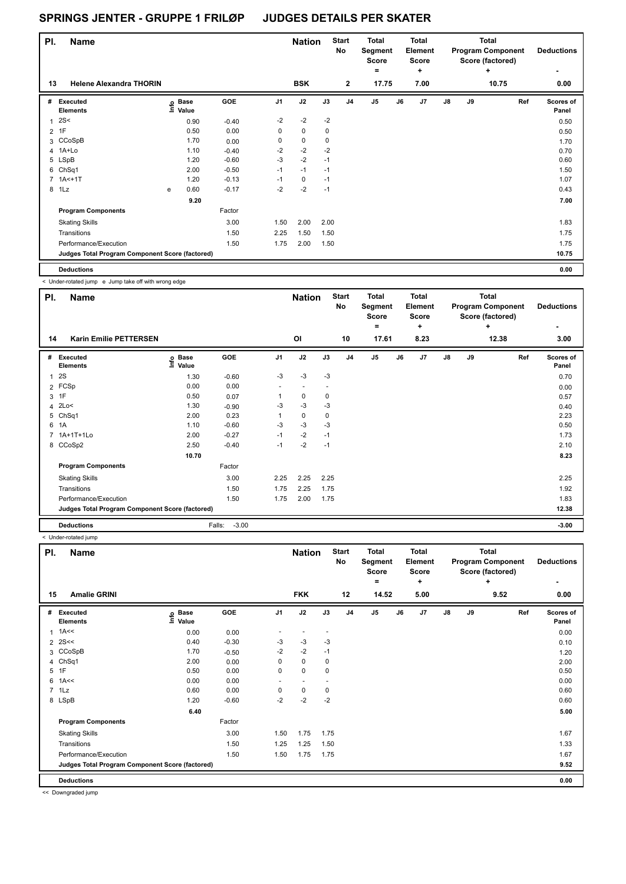| PI.            | <b>Name</b>                                     |   |                                  |         |                | <b>Nation</b> |      | <b>Start</b><br>No | <b>Total</b><br>Segment<br>Score<br>۰ |    | <b>Total</b><br>Element<br><b>Score</b><br>÷ |               |    | <b>Total</b><br><b>Program Component</b><br>Score (factored)<br>÷ | <b>Deductions</b>  |
|----------------|-------------------------------------------------|---|----------------------------------|---------|----------------|---------------|------|--------------------|---------------------------------------|----|----------------------------------------------|---------------|----|-------------------------------------------------------------------|--------------------|
| 13             | <b>Helene Alexandra THORIN</b>                  |   |                                  |         |                | <b>BSK</b>    |      | $\mathbf{2}$       | 17.75                                 |    | 7.00                                         |               |    | 10.75                                                             | 0.00               |
| #              | Executed<br><b>Elements</b>                     |   | <b>Base</b><br>e Base<br>E Value | GOE     | J <sub>1</sub> | J2            | J3   | J <sub>4</sub>     | J5                                    | J6 | J7                                           | $\mathsf{J}8$ | J9 | Ref                                                               | Scores of<br>Panel |
| 1              | 2S<                                             |   | 0.90                             | $-0.40$ | $-2$           | $-2$          | $-2$ |                    |                                       |    |                                              |               |    |                                                                   | 0.50               |
| $\overline{2}$ | 1F                                              |   | 0.50                             | 0.00    | 0              | $\mathbf 0$   | 0    |                    |                                       |    |                                              |               |    |                                                                   | 0.50               |
|                | 3 CCoSpB                                        |   | 1.70                             | 0.00    | 0              | $\pmb{0}$     | 0    |                    |                                       |    |                                              |               |    |                                                                   | 1.70               |
|                | 4 1A+Lo                                         |   | 1.10                             | $-0.40$ | $-2$           | $-2$          | $-2$ |                    |                                       |    |                                              |               |    |                                                                   | 0.70               |
|                | 5 LSpB                                          |   | 1.20                             | $-0.60$ | $-3$           | $-2$          | $-1$ |                    |                                       |    |                                              |               |    |                                                                   | 0.60               |
|                | 6 ChSq1                                         |   | 2.00                             | $-0.50$ | $-1$           | $-1$          | $-1$ |                    |                                       |    |                                              |               |    |                                                                   | 1.50               |
|                | $7.1A<+1T$                                      |   | 1.20                             | $-0.13$ | $-1$           | 0             | $-1$ |                    |                                       |    |                                              |               |    |                                                                   | 1.07               |
| 8              | 1Lz                                             | e | 0.60                             | $-0.17$ | $-2$           | $-2$          | $-1$ |                    |                                       |    |                                              |               |    |                                                                   | 0.43               |
|                |                                                 |   | 9.20                             |         |                |               |      |                    |                                       |    |                                              |               |    |                                                                   | 7.00               |
|                | <b>Program Components</b>                       |   |                                  | Factor  |                |               |      |                    |                                       |    |                                              |               |    |                                                                   |                    |
|                | <b>Skating Skills</b>                           |   |                                  | 3.00    | 1.50           | 2.00          | 2.00 |                    |                                       |    |                                              |               |    |                                                                   | 1.83               |
|                | Transitions                                     |   |                                  | 1.50    | 2.25           | 1.50          | 1.50 |                    |                                       |    |                                              |               |    |                                                                   | 1.75               |
|                | Performance/Execution                           |   |                                  | 1.50    | 1.75           | 2.00          | 1.50 |                    |                                       |    |                                              |               |    |                                                                   | 1.75               |
|                | Judges Total Program Component Score (factored) |   |                                  |         |                |               |      |                    |                                       |    |                                              |               |    |                                                                   | 10.75              |
|                | <b>Deductions</b>                               |   |                                  |         |                |               |      |                    |                                       |    |                                              |               |    |                                                                   | 0.00               |

< Under-rotated jump e Jump take off with wrong edge

ı

| PI. | <b>Name</b>                                     |                   |                   |                | <b>Nation</b> |      | <b>Start</b><br>No | <b>Total</b><br>Segment<br><b>Score</b><br>$\equiv$ |    | <b>Total</b><br>Element<br>Score<br>÷ |               |    | <b>Total</b><br><b>Program Component</b><br>Score (factored)<br>÷ | <b>Deductions</b><br>٠ |
|-----|-------------------------------------------------|-------------------|-------------------|----------------|---------------|------|--------------------|-----------------------------------------------------|----|---------------------------------------|---------------|----|-------------------------------------------------------------------|------------------------|
| 14  | <b>Karin Emilie PETTERSEN</b>                   |                   |                   |                | OI            |      | 10                 | 17.61                                               |    | 8.23                                  |               |    | 12.38                                                             | 3.00                   |
| #   | <b>Executed</b><br><b>Elements</b>              | e Base<br>⊆ Value | GOE               | J <sub>1</sub> | J2            | J3   | J <sub>4</sub>     | J <sub>5</sub>                                      | J6 | J7                                    | $\mathsf{J}8$ | J9 | Ref                                                               | Scores of<br>Panel     |
| 1   | 2S                                              | 1.30              | $-0.60$           | $-3$           | $-3$          | $-3$ |                    |                                                     |    |                                       |               |    |                                                                   | 0.70                   |
|     | 2 FCSp                                          | 0.00              | 0.00              |                |               |      |                    |                                                     |    |                                       |               |    |                                                                   | 0.00                   |
|     | 3 1F                                            | 0.50              | 0.07              |                | 0             | 0    |                    |                                                     |    |                                       |               |    |                                                                   | 0.57                   |
|     | 4 2Lo<                                          | 1.30              | $-0.90$           | $-3$           | $-3$          | $-3$ |                    |                                                     |    |                                       |               |    |                                                                   | 0.40                   |
| 5   | ChSq1                                           | 2.00              | 0.23              |                | 0             | 0    |                    |                                                     |    |                                       |               |    |                                                                   | 2.23                   |
|     | 6 1A                                            | 1.10              | $-0.60$           | $-3$           | $-3$          | -3   |                    |                                                     |    |                                       |               |    |                                                                   | 0.50                   |
|     | 7 1A+1T+1Lo                                     | 2.00              | $-0.27$           | $-1$           | $-2$          | $-1$ |                    |                                                     |    |                                       |               |    |                                                                   | 1.73                   |
|     | 8 CCoSp2                                        | 2.50              | $-0.40$           | $-1$           | $-2$          | $-1$ |                    |                                                     |    |                                       |               |    |                                                                   | 2.10                   |
|     |                                                 | 10.70             |                   |                |               |      |                    |                                                     |    |                                       |               |    |                                                                   | 8.23                   |
|     | <b>Program Components</b>                       |                   | Factor            |                |               |      |                    |                                                     |    |                                       |               |    |                                                                   |                        |
|     | <b>Skating Skills</b>                           |                   | 3.00              | 2.25           | 2.25          | 2.25 |                    |                                                     |    |                                       |               |    |                                                                   | 2.25                   |
|     | Transitions                                     |                   | 1.50              | 1.75           | 2.25          | 1.75 |                    |                                                     |    |                                       |               |    |                                                                   | 1.92                   |
|     | Performance/Execution                           |                   | 1.50              | 1.75           | 2.00          | 1.75 |                    |                                                     |    |                                       |               |    |                                                                   | 1.83                   |
|     | Judges Total Program Component Score (factored) |                   |                   |                |               |      |                    |                                                     |    |                                       |               |    |                                                                   | 12.38                  |
|     | <b>Deductions</b>                               |                   | $-3.00$<br>Falls: |                |               |      |                    |                                                     |    |                                       |               |    |                                                                   | $-3.00$                |

< Under-rotated jump

| PI.            | <b>Name</b>                                     |                            |         |                | <b>Nation</b> |                          | <b>Start</b><br>No | <b>Total</b><br>Segment<br>Score<br>$=$ |    | <b>Total</b><br>Element<br>Score<br>٠ |    |    | <b>Total</b><br><b>Program Component</b><br>Score (factored)<br>÷ | <b>Deductions</b><br>٠ |
|----------------|-------------------------------------------------|----------------------------|---------|----------------|---------------|--------------------------|--------------------|-----------------------------------------|----|---------------------------------------|----|----|-------------------------------------------------------------------|------------------------|
| 15             | <b>Amalie GRINI</b>                             |                            |         |                | <b>FKK</b>    |                          | 12                 | 14.52                                   |    | 5.00                                  |    |    | 9.52                                                              | 0.00                   |
| #              | Executed<br><b>Elements</b>                     | e Base<br>E Value<br>Value | GOE     | J <sub>1</sub> | J2            | J3                       | J <sub>4</sub>     | J <sub>5</sub>                          | J6 | J7                                    | J8 | J9 | Ref                                                               | Scores of<br>Panel     |
| 1              | 1A<<                                            | 0.00                       | 0.00    | ٠              |               | $\overline{\phantom{a}}$ |                    |                                         |    |                                       |    |    |                                                                   | 0.00                   |
|                | $2$ 2S <<                                       | 0.40                       | $-0.30$ | -3             | -3            | -3                       |                    |                                         |    |                                       |    |    |                                                                   | 0.10                   |
|                | 3 CCoSpB                                        | 1.70                       | $-0.50$ | $-2$           | $-2$          | $-1$                     |                    |                                         |    |                                       |    |    |                                                                   | 1.20                   |
|                | 4 ChSq1                                         | 2.00                       | 0.00    | 0              | $\mathbf 0$   | 0                        |                    |                                         |    |                                       |    |    |                                                                   | 2.00                   |
| 5              | 1F                                              | 0.50                       | 0.00    | 0              | $\mathbf 0$   | 0                        |                    |                                         |    |                                       |    |    |                                                                   | 0.50                   |
| 6              | 1A<<                                            | 0.00                       | 0.00    | ٠              |               |                          |                    |                                         |    |                                       |    |    |                                                                   | 0.00                   |
| $\overline{7}$ | 1Lz                                             | 0.60                       | 0.00    | 0              | $\pmb{0}$     | 0                        |                    |                                         |    |                                       |    |    |                                                                   | 0.60                   |
|                | 8 LSpB                                          | 1.20                       | $-0.60$ | $-2$           | $-2$          | $-2$                     |                    |                                         |    |                                       |    |    |                                                                   | 0.60                   |
|                |                                                 | 6.40                       |         |                |               |                          |                    |                                         |    |                                       |    |    |                                                                   | 5.00                   |
|                | <b>Program Components</b>                       |                            | Factor  |                |               |                          |                    |                                         |    |                                       |    |    |                                                                   |                        |
|                | <b>Skating Skills</b>                           |                            | 3.00    | 1.50           | 1.75          | 1.75                     |                    |                                         |    |                                       |    |    |                                                                   | 1.67                   |
|                | Transitions                                     |                            | 1.50    | 1.25           | 1.25          | 1.50                     |                    |                                         |    |                                       |    |    |                                                                   | 1.33                   |
|                | Performance/Execution                           |                            | 1.50    | 1.50           | 1.75          | 1.75                     |                    |                                         |    |                                       |    |    |                                                                   | 1.67                   |
|                | Judges Total Program Component Score (factored) |                            |         |                |               |                          |                    |                                         |    |                                       |    |    |                                                                   | 9.52                   |
|                | <b>Deductions</b>                               |                            |         |                |               |                          |                    |                                         |    |                                       |    |    |                                                                   | 0.00                   |

<< Downgraded jump